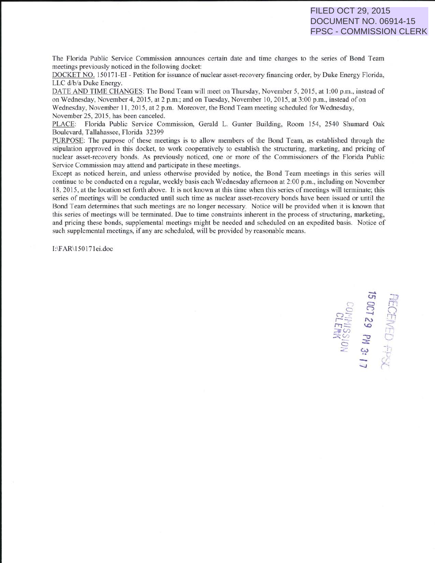The Florida Public Service Commission announces certain date and time changes to the series of Bond Team meetings previously noticed in the following docket:

DOCKET NO. 150171-EI - Petition for issuance of nuclear asset-recovery financing order, by Duke Energy Florida, LLC d/b/a Duke Energy.

DATE AND TIME CHANGES: The Bond Team will meet on Thursday, November 5, 2015, at I :00 p.m., instead of on Wednesday, November 4, 2015. at 2 p.m.; and on Tuesday, November I 0, 2015, at 3:00p.m., instead of on Wednesday, November 11, 2015, at 2 p.m. Moreover, the Bond Team meeting scheduled for Wednesday, November 25, 2015, has been canceled.

PLACE: Florida Public Service Commission, Gerald L. Gunter Building, Room 154, 2540 Shumard Oak Boulevard, Tallahassee, Florida 32399

PURPOSE: The purpose of these meetings is to allow members of the Bond Team, as established through the stipulation approved in this docket, to work cooperatively to establish the structuring, marketing, and pricing of nuclear asset-recovery bonds. As previously noticed, one or more of the Commissioners of the Florida Public Service Commission may attend and participate in these meetings.

Except as noticed herein, and unless otherwise provided by notice, the Bond Team meetings in this series will continue to be conducted on a regular, weekly basis each Wednesday aftemoon at 2:00 p.m., including on November 18, 20 15, at the location set forth above. It is not known at this time when this series of meetings will terminate; this series of meetings will be conducted until such time as nuclear asset-recovery bonds have been issued or until the Bond Team determines that such meetings are no longer necessary. Notice will be provided when it is known that this series of meetings will be terminated. Due to time constraints inherent in the process of structuring, marketing, and pricing these bonds, supplemental meetings might be needed and scheduled on an expedited basis. Notice of such supplemental meetings, if any are scheduled, will be provided by reasonable means.

1:\F AR\ 150 171ei.doc

,-, *<.1"1* - . - 0 C; c-:> n -- -.. *\_1 r .*  $\bigcirc$ EIVE<br>129<br>Fl. 188  $~\stackrel{\triangle}{\sim}~\stackrel{\triangle}{\sim}~\stackrel{\triangle}{\sim}~\stackrel{\triangle}{\sim}~\stackrel{\triangle}{\sim}~$ (r  $-$